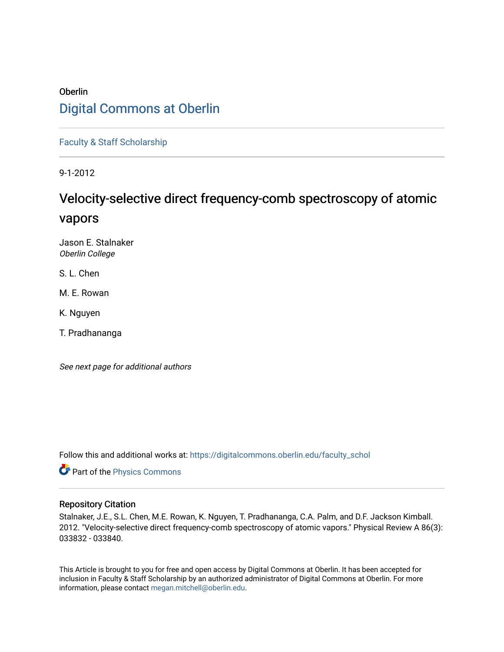## Oberlin [Digital Commons at Oberlin](https://digitalcommons.oberlin.edu/)

[Faculty & Staff Scholarship](https://digitalcommons.oberlin.edu/faculty_schol)

9-1-2012

# Velocity-selective direct frequency-comb spectroscopy of atomic vapors

Jason E. Stalnaker Oberlin College

S. L. Chen

M. E. Rowan

K. Nguyen

T. Pradhananga

See next page for additional authors

Follow this and additional works at: [https://digitalcommons.oberlin.edu/faculty\\_schol](https://digitalcommons.oberlin.edu/faculty_schol?utm_source=digitalcommons.oberlin.edu%2Ffaculty_schol%2F3319&utm_medium=PDF&utm_campaign=PDFCoverPages) 

Part of the [Physics Commons](http://network.bepress.com/hgg/discipline/193?utm_source=digitalcommons.oberlin.edu%2Ffaculty_schol%2F3319&utm_medium=PDF&utm_campaign=PDFCoverPages)

### Repository Citation

Stalnaker, J.E., S.L. Chen, M.E. Rowan, K. Nguyen, T. Pradhananga, C.A. Palm, and D.F. Jackson Kimball. 2012. "Velocity-selective direct frequency-comb spectroscopy of atomic vapors." Physical Review A 86(3): 033832 - 033840.

This Article is brought to you for free and open access by Digital Commons at Oberlin. It has been accepted for inclusion in Faculty & Staff Scholarship by an authorized administrator of Digital Commons at Oberlin. For more information, please contact [megan.mitchell@oberlin.edu.](mailto:megan.mitchell@oberlin.edu)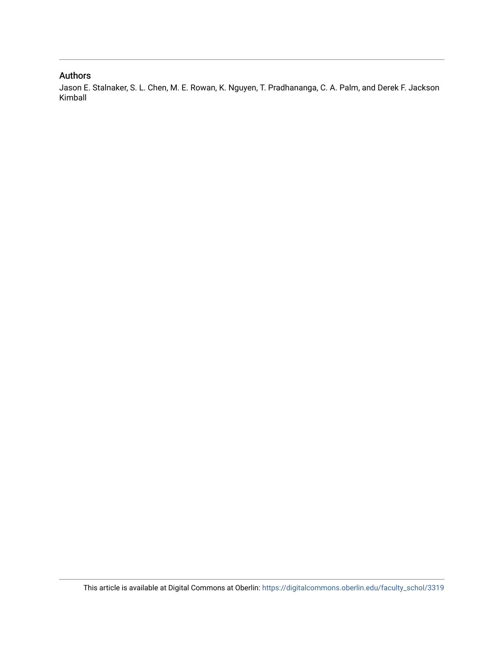## Authors

Jason E. Stalnaker, S. L. Chen, M. E. Rowan, K. Nguyen, T. Pradhananga, C. A. Palm, and Derek F. Jackson Kimball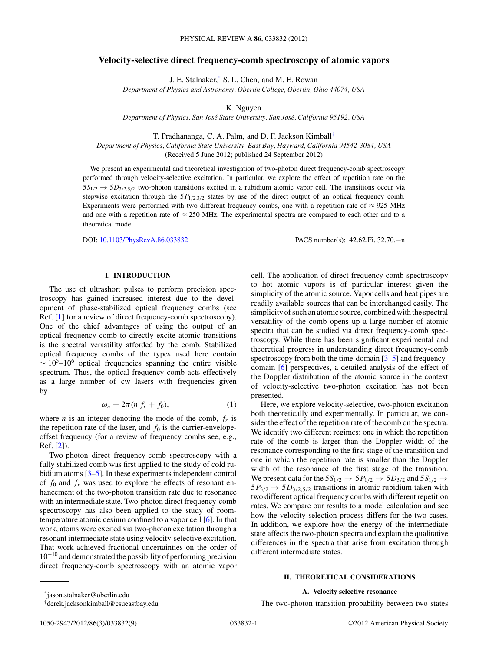#### <span id="page-2-0"></span>**Velocity-selective direct frequency-comb spectroscopy of atomic vapors**

J. E. Stalnaker,\* S. L. Chen, and M. E. Rowan

*Department of Physics and Astronomy, Oberlin College, Oberlin, Ohio 44074, USA*

K. Nguyen

*Department of Physics, San Jose State University, San Jos ´ e, California 95192, USA ´*

T. Pradhananga, C. A. Palm, and D. F. Jackson Kimball†

*Department of Physics, California State University–East Bay, Hayward, California 94542-3084, USA* (Received 5 June 2012; published 24 September 2012)

We present an experimental and theoretical investigation of two-photon direct frequency-comb spectroscopy performed through velocity-selective excitation. In particular, we explore the effect of repetition rate on the  $5S_{1/2} \rightarrow 5D_{3/2,5/2}$  two-photon transitions excited in a rubidium atomic vapor cell. The transitions occur via stepwise excitation through the  $5P_{1/2,3/2}$  states by use of the direct output of an optical frequency comb. Experiments were performed with two different frequency combs, one with a repetition rate of  $\approx$  925 MHz and one with a repetition rate of  $\approx$  250 MHz. The experimental spectra are compared to each other and to a theoretical model.

DOI: [10.1103/PhysRevA.86.033832](http://dx.doi.org/10.1103/PhysRevA.86.033832) PACS number(s): 42*.*62*.*Fi, 32*.*70*.*−n

#### **I. INTRODUCTION**

The use of ultrashort pulses to perform precision spectroscopy has gained increased interest due to the development of phase-stabilized optical frequency combs (see Ref. [\[1\]](#page-10-0) for a review of direct frequency-comb spectroscopy). One of the chief advantages of using the output of an optical frequency comb to directly excite atomic transitions is the spectral versatility afforded by the comb. Stabilized optical frequency combs of the types used here contain  $\sim 10^5$ –10<sup>6</sup> optical frequencies spanning the entire visible spectrum. Thus, the optical frequency comb acts effectively as a large number of cw lasers with frequencies given by

$$
\omega_n = 2\pi (n f_r + f_0), \tag{1}
$$

where *n* is an integer denoting the mode of the comb,  $f_r$  is the repetition rate of the laser, and  $f_0$  is the carrier-envelopeoffset frequency (for a review of frequency combs see, e.g., Ref. [\[2\]](#page-10-0)).

Two-photon direct frequency-comb spectroscopy with a fully stabilized comb was first applied to the study of cold rubidium atoms [\[3–5\]](#page-10-0). In these experiments independent control of  $f_0$  and  $f_r$  was used to explore the effects of resonant enhancement of the two-photon transition rate due to resonance with an intermediate state. Two-photon direct frequency-comb spectroscopy has also been applied to the study of roomtemperature atomic cesium confined to a vapor cell [\[6\]](#page-10-0). In that work, atoms were excited via two-photon excitation through a resonant intermediate state using velocity-selective excitation. That work achieved fractional uncertainties on the order of  $10^{-10}$  and demonstrated the possibility of performing precision direct frequency-comb spectroscopy with an atomic vapor

cell. The application of direct frequency-comb spectroscopy to hot atomic vapors is of particular interest given the simplicity of the atomic source. Vapor cells and heat pipes are readily available sources that can be interchanged easily. The simplicity of such an atomic source, combined with the spectral versatility of the comb opens up a large number of atomic spectra that can be studied via direct frequency-comb spectroscopy. While there has been significant experimental and theoretical progress in understanding direct frequency-comb spectroscopy from both the time-domain  $[3-5]$  and frequencydomain [\[6\]](#page-10-0) perspectives, a detailed analysis of the effect of the Doppler distribution of the atomic source in the context of velocity-selective two-photon excitation has not been presented.

Here, we explore velocity-selective, two-photon excitation both theoretically and experimentally. In particular, we consider the effect of the repetition rate of the comb on the spectra. We identify two different regimes: one in which the repetition rate of the comb is larger than the Doppler width of the resonance corresponding to the first stage of the transition and one in which the repetition rate is smaller than the Doppler width of the resonance of the first stage of the transition. We present data for the  $5S_{1/2} \rightarrow 5P_{1/2} \rightarrow 5D_{3/2}$  and  $5S_{1/2} \rightarrow$  $5P_{3/2} \rightarrow 5D_{3/2,5/2}$  transitions in atomic rubidium taken with two different optical frequency combs with different repetition rates. We compare our results to a model calculation and see how the velocity selection process differs for the two cases. In addition, we explore how the energy of the intermediate state affects the two-photon spectra and explain the qualitative differences in the spectra that arise from excitation through different intermediate states.

#### **II. THEORETICAL CONSIDERATIONS**

#### **A. Velocity selective resonance**

\*jason.stalnaker@oberlin.edu † derek.jacksonkimball@csueastbay.edu

The two-photon transition probability between two states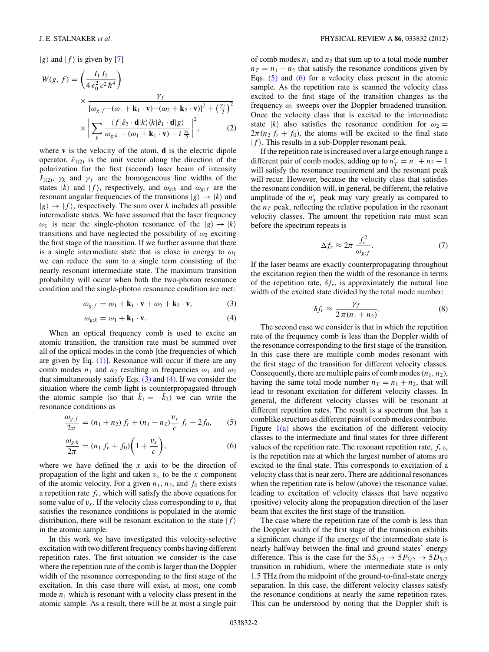<span id="page-3-0"></span> $|g\rangle$  and  $|f\rangle$  is given by [\[7\]](#page-10-0)

$$
W(g, f) = \left(\frac{I_1 I_2}{4 \epsilon_0^2 c^2 \hbar^4}\right)
$$
  
 
$$
\times \frac{\gamma_f}{[\omega_{g:f} - (\omega_1 + \mathbf{k}_1 \cdot \mathbf{v}) - (\omega_2 + \mathbf{k}_2 \cdot \mathbf{v})]^2 + \left(\frac{\gamma_f}{2}\right)^2}
$$
  
 
$$
\times \left| \sum_k \frac{\langle f|\hat{e}_2 \cdot \mathbf{d}|k\rangle \langle k|\hat{e}_1 \cdot \mathbf{d}|g\rangle}{\omega_{g:k} - (\omega_1 + \mathbf{k}_1 \cdot \mathbf{v}) - i\frac{\gamma_k}{2}} \right|^2, \tag{2}
$$

where **v** is the velocity of the atom, **d** is the electric dipole operator,  $\hat{e}_{1(2)}$  is the unit vector along the direction of the polarization for the first (second) laser beam of intensity  $I_{1(2)}$ ,  $\gamma_k$  and  $\gamma_f$  are the homogeneous line widths of the states  $|k\rangle$  and  $|f\rangle$ , respectively, and  $\omega_{g:k}$  and  $\omega_{g:f}$  are the resonant angular frequencies of the transitions  $|g\rangle \rightarrow |k\rangle$  and  $|g\rangle \rightarrow |f\rangle$ , respectively. The sum over *k* includes all possible intermediate states. We have assumed that the laser frequency *ω*<sub>1</sub> is near the single-photon resonance of the  $|g\rangle \rightarrow |k\rangle$ transitions and have neglected the possibility of  $\omega_2$  exciting the first stage of the transition. If we further assume that there is a single intermediate state that is close in energy to  $\omega_1$ we can reduce the sum to a single term consisting of the nearly resonant intermediate state. The maximum transition probability will occur when both the two-photon resonance condition and the single-photon resonance condition are met:

$$
\omega_{g:f} = \omega_1 + \mathbf{k}_1 \cdot \mathbf{v} + \omega_2 + \mathbf{k}_2 \cdot \mathbf{v},\tag{3}
$$

$$
\omega_{g:k} = \omega_1 + \mathbf{k}_1 \cdot \mathbf{v}.\tag{4}
$$

When an optical frequency comb is used to excite an atomic transition, the transition rate must be summed over all of the optical modes in the comb [the frequencies of which are given by Eq.  $(1)$ ]. Resonance will occur if there are any comb modes  $n_1$  and  $n_2$  resulting in frequencies  $\omega_1$  and  $\omega_2$ that simultaneously satisfy Eqs.  $(3)$  and  $(4)$ . If we consider the situation where the comb light is counterpropagated through the atomic sample (so that  $\hat{k}_1 = -\hat{k}_2$ ) we can write the resonance conditions as

$$
\frac{\omega_{g:f}}{2\pi} = (n_1 + n_2) f_r + (n_1 - n_2) \frac{v_x}{c} f_r + 2f_0, \qquad (5)
$$

$$
\frac{\omega_{g:k}}{2\pi} = (n_1 f_r + f_0) \left( 1 + \frac{v_x}{c} \right),\tag{6}
$$

where we have defined the *x* axis to be the direction of propagation of the light and taken  $v_x$  to be the *x* component of the atomic velocity. For a given  $n_1$ ,  $n_2$ , and  $f_0$  there exists a repetition rate *fr*, which will satisfy the above equations for some value of  $v_x$ . If the velocity class corresponding to  $v_x$  that satisfies the resonance conditions is populated in the atomic distribution, there will be resonant excitation to the state  $|f\rangle$ in the atomic sample.

In this work we have investigated this velocity-selective excitation with two different frequency combs having different repetition rates. The first situation we consider is the case where the repetition rate of the comb is larger than the Doppler width of the resonance corresponding to the first stage of the excitation. In this case there will exist, at most, one comb mode  $n_1$  which is resonant with a velocity class present in the atomic sample. As a result, there will be at most a single pair of comb modes  $n_1$  and  $n_2$  that sum up to a total mode number  $n_T = n_1 + n_2$  that satisfy the resonance conditions given by Eqs. (5) and (6) for a velocity class present in the atomic sample. As the repetition rate is scanned the velocity class excited to the first stage of the transition changes as the frequency  $\omega_1$  sweeps over the Doppler broadened transition. Once the velocity class that is excited to the intermediate state  $|k\rangle$  also satisfies the resonance condition for  $\omega_2$  $2\pi(n_2 f_r + f_0)$ , the atoms will be excited to the final state  $|f\rangle$ . This results in a sub-Doppler resonant peak.

If the repetition rate is increased over a large enough range a different pair of comb modes, adding up to  $n'_T = n_1 + n_2 - 1$ will satisfy the resonance requirement and the resonant peak will recur. However, because the velocity class that satisfies the resonant condition will, in general, be different, the relative amplitude of the  $n'_T$  peak may vary greatly as compared to the  $n_T$  peak, reflecting the relative population in the resonant velocity classes. The amount the repetition rate must scan before the spectrum repeats is

$$
\Delta f_r \approx 2\pi \frac{f_r^2}{\omega_{g:f}}.\tag{7}
$$

If the laser beams are exactly counterpropagating throughout the excitation region then the width of the resonance in terms of the repetition rate,  $\delta f_r$ , is approximately the natural line width of the excited state divided by the total mode number:

$$
\delta f_r \approx \frac{\gamma_f}{2\,\pi(n_1+n_2)}.\tag{8}
$$

The second case we consider is that in which the repetition rate of the frequency comb is less than the Doppler width of the resonance corresponding to the first stage of the transition. In this case there are multiple comb modes resonant with the first stage of the transition for different velocity classes. Consequently, there are multiple pairs of comb modes  $(n_1, n_2)$ , having the same total mode number  $n_T = n_1 + n_2$ , that will lead to resonant excitation for different velocity classes. In general, the different velocity classes will be resonant at different repetition rates. The result is a spectrum that has a comblike structure as different pairs of comb modes contribute. Figure  $1(a)$  shows the excitation of the different velocity classes to the intermediate and final states for three different values of the repetition rate. The resonant repetition rate, *fr,*0, is the repetition rate at which the largest number of atoms are excited to the final state. This corresponds to excitation of a velocity class that is near zero. There are additional resonances when the repetition rate is below (above) the resonance value, leading to excitation of velocity classes that have negative (positive) velocity along the propagation direction of the laser beam that excites the first stage of the transition.

The case where the repetition rate of the comb is less than the Doppler width of the first stage of the transition exhibits a significant change if the energy of the intermediate state is nearly halfway between the final and ground states' energy difference. This is the case for the  $5S_{1/2} \rightarrow 5P_{3/2} \rightarrow 5D_{5/2}$ transition in rubidium, where the intermediate state is only 1.5 THz from the midpoint of the ground-to-final-state energy separation. In this case, the different velocity classes satisfy the resonance conditions at nearly the same repetition rates. This can be understood by noting that the Doppler shift is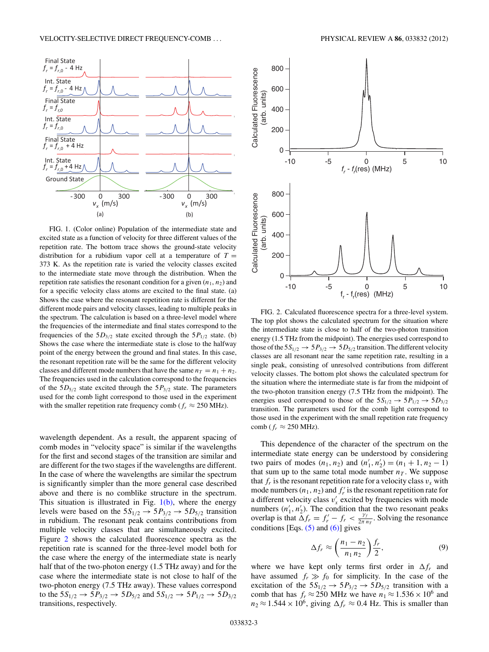<span id="page-4-0"></span>

FIG. 1. (Color online) Population of the intermediate state and excited state as a function of velocity for three different values of the repetition rate. The bottom trace shows the ground-state velocity distribution for a rubidium vapor cell at a temperature of  $T =$ 373 K. As the repetition rate is varied the velocity classes excited to the intermediate state move through the distribution. When the repetition rate satisfies the resonant condition for a given  $(n_1, n_2)$  and for a specific velocity class atoms are excited to the final state. (a) Shows the case where the resonant repetition rate is different for the different mode pairs and velocity classes, leading to multiple peaks in the spectrum. The calculation is based on a three-level model where the frequencies of the intermediate and final states correspond to the frequencies of the  $5D_{3/2}$  state excited through the  $5P_{1/2}$  state. (b) Shows the case where the intermediate state is close to the halfway point of the energy between the ground and final states. In this case, the resonant repetition rate will be the same for the different velocity classes and different mode numbers that have the same  $n_T = n_1 + n_2$ . The frequencies used in the calculation correspond to the frequencies of the  $5D_{5/2}$  state excited through the  $5P_{3/2}$  state. The parameters used for the comb light correspond to those used in the experiment with the smaller repetition rate frequency comb ( $f_r \approx 250$  MHz).

wavelength dependent. As a result, the apparent spacing of comb modes in "velocity space" is similar if the wavelengths for the first and second stages of the transition are similar and are different for the two stages if the wavelengths are different. In the case of where the wavelengths are similar the spectrum is significantly simpler than the more general case described above and there is no comblike structure in the spectrum. This situation is illustrated in Fig.  $1(b)$ , where the energy levels were based on the  $5S_{1/2} \rightarrow 5P_{3/2} \rightarrow 5D_{5/2}$  transition in rubidium. The resonant peak contains contributions from multiple velocity classes that are simultaneously excited. Figure 2 shows the calculated fluorescence spectra as the repetition rate is scanned for the three-level model both for the case where the energy of the intermediate state is nearly half that of the two-photon energy (1.5 THz away) and for the case where the intermediate state is not close to half of the two-photon energy (7.5 THz away). These values correspond to the  $5S_{1/2} \rightarrow 5P_{3/2} \rightarrow 5D_{5/2}$  and  $5S_{1/2} \rightarrow 5P_{1/2} \rightarrow 5D_{3/2}$ transitions, respectively.



FIG. 2. Calculated fluorescence spectra for a three-level system. The top plot shows the calculated spectrum for the situation where the intermediate state is close to half of the two-photon transition energy (1.5 THz from the midpoint). The energies used correspond to those of the  $5S_{1/2} \rightarrow 5P_{3/2} \rightarrow 5D_{5/2}$  transition. The different velocity classes are all resonant near the same repetition rate, resulting in a single peak, consisting of unresolved contributions from different velocity classes. The bottom plot shows the calculated spectrum for the situation where the intermediate state is far from the midpoint of the two-photon transition energy (7.5 THz from the midpoint). The energies used correspond to those of the  $5S_{1/2} \rightarrow 5P_{1/2} \rightarrow 5D_{3/2}$ transition. The parameters used for the comb light correspond to those used in the experiment with the small repetition rate frequency comb ( $f_r \approx 250$  MHz).

This dependence of the character of the spectrum on the intermediate state energy can be understood by considering two pairs of modes  $(n_1, n_2)$  and  $(n'_1, n'_2) = (n_1 + 1, n_2 - 1)$ that sum up to the same total mode number  $n<sub>T</sub>$ . We suppose that  $f_r$  is the resonant repetition rate for a velocity class  $v_x$  with mode numbers  $(n_1, n_2)$  and  $f'_r$  is the resonant repetition rate for a different velocity class  $v'_x$  excited by frequencies with mode numbers  $(n'_1, n'_2)$ . The condition that the two resonant peaks overlap is that  $\Delta f_r = f'_r - f_r < \frac{\gamma_f}{2\pi n_r}$ . Solving the resonance conditions [Eqs.  $(5)$  and  $(6)$ ] gives

$$
\Delta f_r \approx \left(\frac{n_1 - n_2}{n_1 n_2}\right) \frac{f_r}{2},\tag{9}
$$

where we have kept only terms first order in  $\Delta f_r$  and have assumed  $f_r \gg f_0$  for simplicity. In the case of the excitation of the  $5S_{1/2} \rightarrow 5P_{3/2} \rightarrow 5D_{5/2}$  transition with a comb that has  $f_r \approx 250$  MHz we have  $n_1 \approx 1.536 \times 10^6$  and  $n_2 \approx 1.544 \times 10^6$ , giving  $\Delta f_r \approx 0.4$  Hz. This is smaller than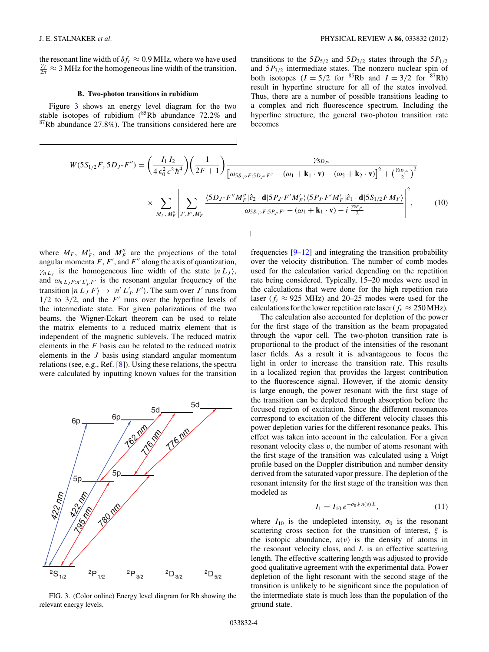the resonant line width of  $\delta f_r \approx 0.9$  MHz, where we have used  $\frac{\gamma_f}{2\pi} \approx 3$  MHz for the homogeneous line width of the transition.

#### **B. Two-photon transitions in rubidium**

Figure 3 shows an energy level diagram for the two stable isotopes of rubidium (85Rb abundance 72*.*2% and 87Rb abundance 27*.*8%). The transitions considered here are transitions to the  $5D_{5/2}$  and  $5D_{3/2}$  states through the  $5P_{1/2}$ and  $5P_{3/2}$  intermediate states. The nonzero nuclear spin of both isotopes  $(I = 5/2$  for <sup>85</sup>Rb and  $I = 3/2$  for <sup>87</sup>Rb) result in hyperfine structure for all of the states involved. Thus, there are a number of possible transitions leading to a complex and rich fluorescence spectrum. Including the hyperfine structure, the general two-photon transition rate becomes

$$
W(5S_{1/2}F, 5D_{J''}F'') = \left(\frac{I_1 I_2}{4\epsilon_0^2 c^2 \hbar^4}\right) \left(\frac{1}{2F+1}\right) \frac{\gamma_{5D_{J''}}}{\left[\omega_{5S_{1/2}F;5D_{J''}F''} - (\omega_1 + \mathbf{k}_1 \cdot \mathbf{v}) - (\omega_2 + \mathbf{k}_2 \cdot \mathbf{v})\right]^2 + \left(\frac{\gamma_{5D_{J''}}}{2}\right)^2}
$$
  
 
$$
\times \sum_{M_F, M''_F} \left| \sum_{J', F', M'_F} \frac{\langle 5D_{J''}F''M''_F | \hat{e}_2 \cdot \mathbf{d} | 5P_{J'}F'M'_F \rangle \langle 5P_{J'}F'M'_F | \hat{e}_1 \cdot \mathbf{d} | 5S_{1/2}F M_F \rangle}{\omega_{5S_{1/2}F;5P_{J'}F'} - (\omega_1 + \mathbf{k}_1 \cdot \mathbf{v}) - i\frac{\gamma_{5P_{J'}}}{2}} \right|^2, \tag{10}
$$

where  $M_F$ ,  $M'_F$ , and  $M''_F$  are the projections of the total angular momenta  $F, F',$  and  $F''$  along the axis of quantization,  $\gamma_{nL_J}$  is the homogeneous line width of the state  $|nL_J\rangle$ , and  $\omega_{n} L_J F: n' L'_{J'} F'$  is the resonant angular frequency of the transition  $|n L_J F\rangle \rightarrow |n' L'_{J'} F'\rangle$ . The sum over *J'* runs from  $1/2$  to  $3/2$ , and the *F'* runs over the hyperfine levels of the intermediate state. For given polarizations of the two beams, the Wigner-Eckart theorem can be used to relate the matrix elements to a reduced matrix element that is independent of the magnetic sublevels. The reduced matrix elements in the *F* basis can be related to the reduced matrix elements in the *J* basis using standard angular momentum relations (see, e.g., Ref. [\[8\]](#page-10-0)). Using these relations, the spectra were calculated by inputting known values for the transition



FIG. 3. (Color online) Energy level diagram for Rb showing the relevant energy levels.

frequencies  $[9-12]$  and integrating the transition probability over the velocity distribution. The number of comb modes used for the calculation varied depending on the repetition rate being considered. Typically, 15–20 modes were used in the calculations that were done for the high repetition rate laser ( $f_r \approx 925$  MHz) and 20–25 modes were used for the calculations for the lower repetition rate laser ( $f_r \approx 250 \text{ MHz}$ ).

The calculation also accounted for depletion of the power for the first stage of the transition as the beam propagated through the vapor cell. The two-photon transition rate is proportional to the product of the intensities of the resonant laser fields. As a result it is advantageous to focus the light in order to increase the transition rate. This results in a localized region that provides the largest contribution to the fluorescence signal. However, if the atomic density is large enough, the power resonant with the first stage of the transition can be depleted through absorption before the focused region of excitation. Since the different resonances correspond to excitation of the different velocity classes this power depletion varies for the different resonance peaks. This effect was taken into account in the calculation. For a given resonant velocity class *v*, the number of atoms resonant with the first stage of the transition was calculated using a Voigt profile based on the Doppler distribution and number density derived from the saturated vapor pressure. The depletion of the resonant intensity for the first stage of the transition was then modeled as

$$
I_1 = I_{10} e^{-\sigma_0 \xi n(v)L}, \tag{11}
$$

where  $I_{10}$  is the undepleted intensity,  $\sigma_0$  is the resonant scattering cross section for the transition of interest, *ξ* is the isotopic abundance,  $n(v)$  is the density of atoms in the resonant velocity class, and *L* is an effective scattering length. The effective scattering length was adjusted to provide good qualitative agreement with the experimental data. Power depletion of the light resonant with the second stage of the transition is unlikely to be significant since the population of the intermediate state is much less than the population of the ground state.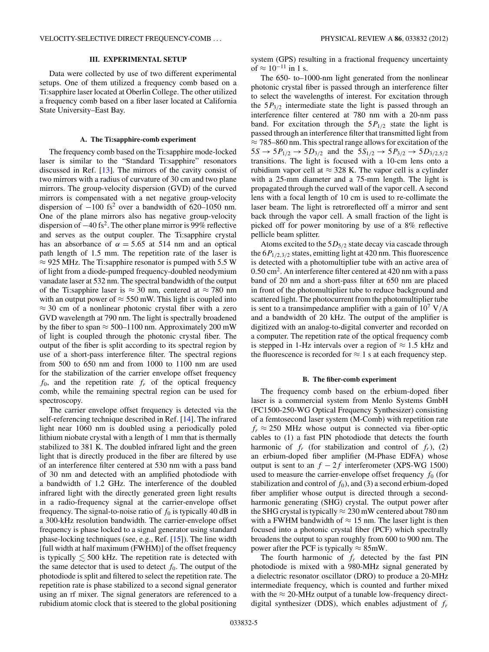#### **III. EXPERIMENTAL SETUP**

Data were collected by use of two different experimental setups. One of them utilized a frequency comb based on a Ti:sapphire laser located at Oberlin College. The other utilized a frequency comb based on a fiber laser located at California State University–East Bay.

#### **A. The Ti:sapphire-comb experiment**

The frequency comb based on the Ti:sapphire mode-locked laser is similar to the "Standard Ti:sapphire" resonators discussed in Ref. [\[13\]](#page-10-0). The mirrors of the cavity consist of two mirrors with a radius of curvature of 30 cm and two plane mirrors. The group-velocity dispersion (GVD) of the curved mirrors is compensated with a net negative group-velocity dispersion of  $-100$  fs<sup>2</sup> over a bandwidth of 620–1050 nm. One of the plane mirrors also has negative group-velocity dispersion of  $-40$  fs<sup>2</sup>. The other plane mirror is 99% reflective and serves as the output coupler. The Ti:sapphire crystal has an absorbance of  $\alpha = 5.65$  at 514 nm and an optical path length of 1.5 mm. The repetition rate of the laser is  $\approx$  925 MHz. The Ti:sapphire resonator is pumped with 5.5 W of light from a diode-pumped frequency-doubled neodymium vanadate laser at 532 nm. The spectral bandwidth of the output of the Ti:sapphire laser is  $\approx 30$  nm, centered at  $\approx 780$  nm with an output power of  $\approx$  550 mW. This light is coupled into  $\approx$  30 cm of a nonlinear photonic crystal fiber with a zero GVD wavelength at 790 nm. The light is spectrally broadened by the fiber to span  $\approx$  500–1100 nm. Approximately 200 mW of light is coupled through the photonic crystal fiber. The output of the fiber is split according to its spectral region by use of a short-pass interference filter. The spectral regions from 500 to 650 nm and from 1000 to 1100 nm are used for the stabilization of the carrier envelope offset frequency  $f_0$ , and the repetition rate  $f_r$  of the optical frequency comb, while the remaining spectral region can be used for spectroscopy.

The carrier envelope offset frequency is detected via the self-referencing technique described in Ref. [\[14\]](#page-10-0). The infrared light near 1060 nm is doubled using a periodically poled lithium niobate crystal with a length of 1 mm that is thermally stabilized to 381 K. The doubled infrared light and the green light that is directly produced in the fiber are filtered by use of an interference filter centered at 530 nm with a pass band of 30 nm and detected with an amplified photodiode with a bandwidth of 1.2 GHz. The interference of the doubled infrared light with the directly generated green light results in a radio-frequency signal at the carrier-envelope offset frequency. The signal-to-noise ratio of  $f_0$  is typically 40 dB in a 300-kHz resolution bandwidth. The carrier-envelope offset frequency is phase locked to a signal generator using standard phase-locking techniques (see, e.g., Ref. [\[15\]](#page-10-0)). The line width [full width at half maximum (FWHM)] of the offset frequency is typically  $\lesssim$  500 kHz. The repetition rate is detected with the same detector that is used to detect  $f_0$ . The output of the photodiode is split and filtered to select the repetition rate. The repetition rate is phase stabilized to a second signal generator using an rf mixer. The signal generators are referenced to a rubidium atomic clock that is steered to the global positioning system (GPS) resulting in a fractional frequency uncertainty of  $\approx 10^{-11}$  in 1 s.

The 650- to–1000-nm light generated from the nonlinear photonic crystal fiber is passed through an interference filter to select the wavelengths of interest. For excitation through the  $5P_{3/2}$  intermediate state the light is passed through an interference filter centered at 780 nm with a 20-nm pass band. For excitation through the  $5P_{1/2}$  state the light is passed through an interference filter that transmitted light from  $\approx$  785–860 nm. This spectral range allows for excitation of the  $5S \rightarrow 5P_{1/2} \rightarrow 5D_{3/2}$  and the  $5S_{1/2} \rightarrow 5P_{3/2} \rightarrow 5D_{3/2,5/2}$ transitions. The light is focused with a 10-cm lens onto a rubidium vapor cell at  $\approx$  328 K. The vapor cell is a cylinder with a 25-mm diameter and a 75-mm length. The light is propagated through the curved wall of the vapor cell. A second lens with a focal length of 10 cm is used to re-collimate the laser beam. The light is retroreflected off a mirror and sent back through the vapor cell. A small fraction of the light is picked off for power monitoring by use of a 8% reflective pellicle beam splitter.

Atoms excited to the 5*D*5*/*<sup>2</sup> state decay via cascade through the  $6P_{1/2,3/2}$  states, emitting light at 420 nm. This fluorescence is detected with a photomultiplier tube with an active area of 0*.*50 cm2. An interference filter centered at 420 nm with a pass band of 20 nm and a short-pass filter at 650 nm are placed in front of the photomultiplier tube to reduce background and scattered light. The photocurrent from the photomultiplier tube is sent to a transimpedance amplifier with a gain of  $10^7$  V/A and a bandwidth of 20 kHz. The output of the amplifier is digitized with an analog-to-digital converter and recorded on a computer. The repetition rate of the optical frequency comb is stepped in 1-Hz intervals over a region of  $\approx 1.5$  kHz and the fluorescence is recorded for  $\approx 1$  s at each frequency step.

#### **B. The fiber-comb experiment**

The frequency comb based on the erbium-doped fiber laser is a commercial system from Menlo Systems GmbH (FC1500-250-WG Optical Frequency Synthesizer) consisting of a femtosecond laser system (M-Comb) with repetition rate  $f_r \approx 250$  MHz whose output is connected via fiber-optic cables to (1) a fast PIN photodiode that detects the fourth harmonic of  $f_r$  (for stabilization and control of  $f_r$ ), (2) an erbium-doped fiber amplifier (M-Phase EDFA) whose output is sent to an  $f - 2f$  interferometer (XPS-WG 1500) used to measure the carrier-envelope offset frequency  $f_0$  (for stabilization and control of  $f_0$ ), and (3) a second erbium-doped fiber amplifier whose output is directed through a secondharmonic generating (SHG) crystal. The output power after the SHG crystal is typically  $\approx 230$  mW centered about 780 nm with a FWHM bandwidth of  $\approx 15$  nm. The laser light is then focused into a photonic crystal fiber (PCF) which spectrally broadens the output to span roughly from 600 to 900 nm. The power after the PCF is typically  $\approx 85$ mW.

The fourth harmonic of  $f_r$  detected by the fast PIN photodiode is mixed with a 980-MHz signal generated by a dielectric resonator oscillator (DRO) to produce a 20-MHz intermediate frequency, which is counted and further mixed with the  $\approx$  20-MHz output of a tunable low-frequency directdigital synthesizer (DDS), which enables adjustment of *fr*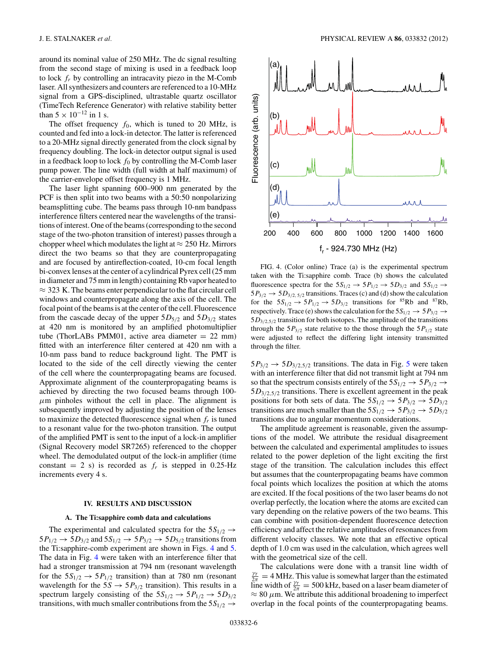<span id="page-7-0"></span>around its nominal value of 250 MHz. The dc signal resulting from the second stage of mixing is used in a feedback loop to lock *fr* by controlling an intracavity piezo in the M-Comb laser. All synthesizers and counters are referenced to a 10-MHz signal from a GPS-disciplined, ultrastable quartz oscillator (TimeTech Reference Generator) with relative stability better than  $5 \times 10^{-12}$  in 1 s.

The offset frequency  $f_0$ , which is tuned to 20 MHz, is counted and fed into a lock-in detector. The latter is referenced to a 20-MHz signal directly generated from the clock signal by frequency doubling. The lock-in detector output signal is used in a feedback loop to lock  $f_0$  by controlling the M-Comb laser pump power. The line width (full width at half maximum) of the carrier-envelope offset frequency is 1 MHz.

The laser light spanning 600–900 nm generated by the PCF is then split into two beams with a 50:50 nonpolarizing beamsplitting cube. The beams pass through 10-nm bandpass interference filters centered near the wavelengths of the transitions of interest. One of the beams (corresponding to the second stage of the two-photon transition of interest) passes through a chopper wheel which modulates the light at  $\approx 250$  Hz. Mirrors direct the two beams so that they are counterpropagating and are focused by antireflection-coated, 10-cm focal length bi-convex lenses at the center of a cylindrical Pyrex cell (25 mm in diameter and 75 mm in length) containing Rb vapor heated to  $\approx$  323 K. The beams enter perpendicular to the flat circular cell windows and counterpropagate along the axis of the cell. The focal point of the beams is at the center of the cell. Fluorescence from the cascade decay of the upper  $5D_{5/2}$  and  $5D_{3/2}$  states at 420 nm is monitored by an amplified photomultiplier tube (ThorLABs PMM01, active area diameter  $= 22$  mm) fitted with an interference filter centered at 420 nm with a 10-nm pass band to reduce background light. The PMT is located to the side of the cell directly viewing the center of the cell where the counterpropagating beams are focused. Approximate alignment of the counterpropagating beams is achieved by directing the two focused beams through 100-  $\mu$ m pinholes without the cell in place. The alignment is subsequently improved by adjusting the position of the lenses to maximize the detected fluorescence signal when  $f_r$  is tuned to a resonant value for the two-photon transition. The output of the amplified PMT is sent to the input of a lock-in amplifier (Signal Recovery model SR7265) referenced to the chopper wheel. The demodulated output of the lock-in amplifier (time constant  $= 2$  s) is recorded as  $f_r$  is stepped in 0.25-Hz increments every 4 s.

#### **IV. RESULTS AND DISCUSSION**

#### **A. The Ti:sapphire comb data and calculations**

The experimental and calculated spectra for the  $5S_{1/2} \rightarrow$  $5P_{1/2} \rightarrow 5D_{3/2}$  and  $5S_{1/2} \rightarrow 5P_{3/2} \rightarrow 5D_{5/2}$  transitions from the Ti:sapphire-comb experiment are shown in Figs. 4 and [5.](#page-8-0) The data in Fig. 4 were taken with an interference filter that had a stronger transmission at 794 nm (resonant wavelength for the  $5S_{1/2} \rightarrow 5P_{1/2}$  transition) than at 780 nm (resonant wavelength for the  $5S \rightarrow 5P_{3/2}$  transition). This results in a spectrum largely consisting of the  $5S_{1/2} \rightarrow 5P_{1/2} \rightarrow 5D_{3/2}$ transitions, with much smaller contributions from the  $5S_{1/2} \rightarrow$ 



FIG. 4. (Color online) Trace (a) is the experimental spectrum taken with the Ti:sapphire comb. Trace (b) shows the calculated fluorescence spectra for the  $5S_{1/2} \rightarrow 5P_{1/2} \rightarrow 5D_{3/2}$  and  $5S_{1/2} \rightarrow$  $5P_{3/2} \rightarrow 5D_{3/2, 5/2}$  transitions. Traces (c) and (d) show the calculation for the  $5S_{1/2} \rightarrow 5P_{1/2} \rightarrow 5D_{3/2}$  transitions for <sup>85</sup>Rb and <sup>87</sup>Rb, respectively. Trace (e) shows the calculation for the  $5S_{1/2} \rightarrow 5P_{3/2} \rightarrow$ 5*D*3*/*2*,*5*/*<sup>2</sup> transition for both isotopes. The amplitude of the transitions through the  $5P_{3/2}$  state relative to the those through the  $5P_{1/2}$  state were adjusted to reflect the differing light intensity transmitted through the filter.

 $5P_{3/2} \rightarrow 5D_{3/2,5/2}$  $5P_{3/2} \rightarrow 5D_{3/2,5/2}$  transitions. The data in Fig. 5 were taken with an interference filter that did not transmit light at 794 nm so that the spectrum consists entirely of the  $5S_{1/2} \rightarrow 5P_{3/2} \rightarrow$ 5*D*3*/*2*,*5*/*<sup>2</sup> transitions. There is excellent agreement in the peak positions for both sets of data. The  $5S_{1/2} \rightarrow 5P_{3/2} \rightarrow 5D_{3/2}$ transitions are much smaller than the  $5S_{1/2} \rightarrow 5P_{3/2} \rightarrow 5D_{5/2}$ transitions due to angular momentum considerations.

The amplitude agreement is reasonable, given the assumptions of the model. We attribute the residual disagreement between the calculated and experimental amplitudes to issues related to the power depletion of the light exciting the first stage of the transition. The calculation includes this effect but assumes that the counterpropagating beams have common focal points which localizes the position at which the atoms are excited. If the focal positions of the two laser beams do not overlap perfectly, the location where the atoms are excited can vary depending on the relative powers of the two beams. This can combine with position-dependent fluorescence detection efficiency and affect the relative amplitudes of resonances from different velocity classes. We note that an effective optical depth of 1.0 cm was used in the calculation, which agrees well with the geometrical size of the cell.

The calculations were done with a transit line width of  $\frac{\gamma_T}{2\pi}$  = 4 MHz. This value is somewhat larger than the estimated line width of  $\frac{\gamma_T}{2\pi}$  = 500 kHz, based on a laser beam diameter of  $\approx 80 \,\mu$ m. We attribute this additional broadening to imperfect overlap in the focal points of the counterpropagating beams.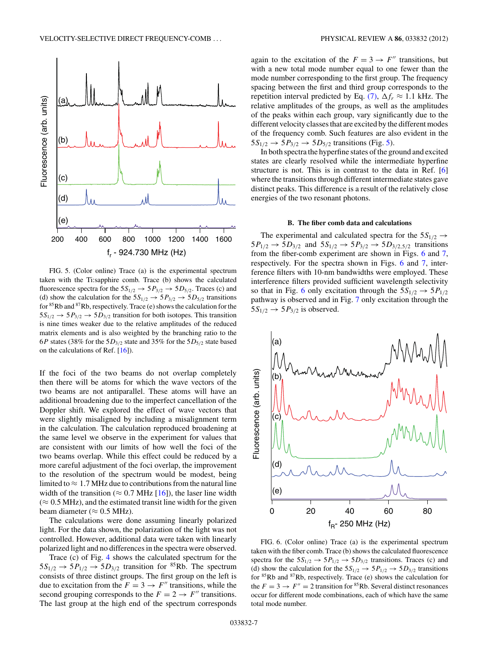<span id="page-8-0"></span>

FIG. 5. (Color online) Trace (a) is the experimental spectrum taken with the Ti:sapphire comb. Trace (b) shows the calculated fluorescence spectra for the  $5S_{1/2} \rightarrow 5P_{3/2} \rightarrow 5D_{5/2}$ . Traces (c) and (d) show the calculation for the  $5S_{1/2} \rightarrow 5P_{3/2} \rightarrow 5D_{5/2}$  transitions for  ${}^{85}Rb$  and  ${}^{87}Rb$ , respectively. Trace (e) shows the calculation for the  $5S_{1/2} \rightarrow 5P_{3/2} \rightarrow 5D_{3/2}$  transition for both isotopes. This transition is nine times weaker due to the relative amplitudes of the reduced matrix elements and is also weighted by the branching ratio to the 6*P* states (38% for the  $5D_{3/2}$  state and 35% for the  $5D_{5/2}$  state based on the calculations of Ref. [\[16\]](#page-10-0)).

If the foci of the two beams do not overlap completely then there will be atoms for which the wave vectors of the two beams are not antiparallel. These atoms will have an additional broadening due to the imperfect cancellation of the Doppler shift. We explored the effect of wave vectors that were slightly misaligned by including a misalignment term in the calculation. The calculation reproduced broadening at the same level we observe in the experiment for values that are consistent with our limits of how well the foci of the two beams overlap. While this effect could be reduced by a more careful adjustment of the foci overlap, the improvement to the resolution of the spectrum would be modest, being limited to  $\approx 1.7$  MHz due to contributions from the natural line width of the transition ( $\approx 0.7$  MHz [\[16\]](#page-10-0)), the laser line width  $(\approx 0.5 \text{ MHz})$ , and the estimated transit line width for the given beam diameter ( $\approx 0.5$  MHz).

The calculations were done assuming linearly polarized light. For the data shown, the polarization of the light was not controlled. However, additional data were taken with linearly polarized light and no differences in the spectra were observed.

Trace (c) of Fig. [4](#page-7-0) shows the calculated spectrum for the  $5S_{1/2} \rightarrow 5P_{1/2} \rightarrow 5D_{3/2}$  transition for <sup>85</sup>Rb. The spectrum consists of three distinct groups. The first group on the left is due to excitation from the  $F = 3 \rightarrow F''$  transitions, while the second grouping corresponds to the  $F = 2 \rightarrow F''$  transitions. The last group at the high end of the spectrum corresponds

again to the excitation of the  $F = 3 \rightarrow F''$  transitions, but with a new total mode number equal to one fewer than the mode number corresponding to the first group. The frequency spacing between the first and third group corresponds to the repetition interval predicted by Eq. [\(7\),](#page-3-0)  $\Delta f_r \approx 1.1$  kHz. The relative amplitudes of the groups, as well as the amplitudes of the peaks within each group, vary significantly due to the different velocity classes that are excited by the different modes of the frequency comb. Such features are also evident in the  $5S_{1/2} \rightarrow 5P_{3/2} \rightarrow 5D_{5/2}$  transitions (Fig. 5).

In both spectra the hyperfine states of the ground and excited states are clearly resolved while the intermediate hyperfine structure is not. This is in contrast to the data in Ref. [\[6\]](#page-10-0) where the transitions through different intermediate states gave distinct peaks. This difference is a result of the relatively close energies of the two resonant photons.

#### **B. The fiber comb data and calculations**

The experimental and calculated spectra for the  $5S_{1/2} \rightarrow$  $5P_{1/2} \rightarrow 5D_{3/2}$  and  $5S_{1/2} \rightarrow 5P_{3/2} \rightarrow 5D_{3/2,5/2}$  transitions from the fiber-comb experiment are shown in Figs. 6 and [7,](#page-9-0) respectively. For the spectra shown in Figs. 6 and [7,](#page-9-0) interference filters with 10-nm bandwidths were employed. These interference filters provided sufficient wavelength selectivity so that in Fig. 6 only excitation through the  $5S_{1/2} \rightarrow 5P_{1/2}$ pathway is observed and in Fig. [7](#page-9-0) only excitation through the  $5S_{1/2} \rightarrow 5P_{3/2}$  is observed.



FIG. 6. (Color online) Trace (a) is the experimental spectrum taken with the fiber comb. Trace (b) shows the calculated fluorescence spectra for the  $5S_{1/2} \rightarrow 5P_{1/2} \rightarrow 5D_{3/2}$  transitions. Traces (c) and (d) show the calculation for the  $5S_{1/2} \rightarrow 5P_{1/2} \rightarrow 5D_{3/2}$  transitions for 85Rb and 87Rb, respectively. Trace (e) shows the calculation for the  $F = 3 \rightarrow F'' = 2$  transition for <sup>85</sup>Rb. Several distinct resonances occur for different mode combinations, each of which have the same total mode number.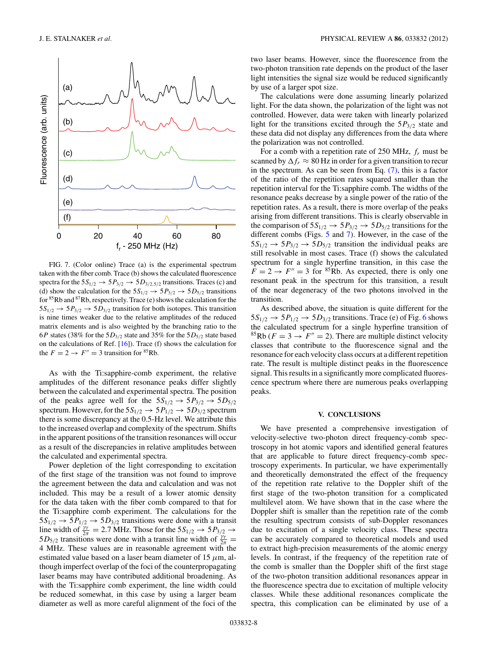<span id="page-9-0"></span>

FIG. 7. (Color online) Trace (a) is the experimental spectrum taken with the fiber comb. Trace (b) shows the calculated fluorescence spectra for the  $5S_{1/2} \rightarrow 5P_{3/2} \rightarrow 5D_{3/2,5/2}$  transitions. Traces (c) and (d) show the calculation for the  $5S_{1/2} \rightarrow 5P_{3/2} \rightarrow 5D_{5/2}$  transitions for 85Rb and 87Rb, respectively. Trace (e) shows the calculation for the  $5S_{1/2} \rightarrow 5P_{3/2} \rightarrow 5D_{3/2}$  transition for both isotopes. This transition is nine times weaker due to the relative amplitudes of the reduced matrix elements and is also weighted by the branching ratio to the 6*P* states (38% for the  $5D_{3/2}$  state and 35% for the  $5D_{5/2}$  state based on the calculations of Ref.  $[16]$ ). Trace (f) shows the calculation for the  $F = 2 \rightarrow F'' = 3$  transition for <sup>85</sup>Rb.

As with the Ti:sapphire-comb experiment, the relative amplitudes of the different resonance peaks differ slightly between the calculated and experimental spectra. The position of the peaks agree well for the  $5S_{1/2} \rightarrow 5P_{3/2} \rightarrow 5D_{5/2}$ spectrum. However, for the  $5S_{1/2} \rightarrow 5P_{1/2} \rightarrow 5D_{3/2}$  spectrum there is some discrepancy at the 0.5-Hz level. We attribute this to the increased overlap and complexity of the spectrum. Shifts in the apparent positions of the transition resonances will occur as a result of the discrepancies in relative amplitudes between the calculated and experimental spectra.

Power depletion of the light corresponding to excitation of the first stage of the transition was not found to improve the agreement between the data and calculation and was not included. This may be a result of a lower atomic density for the data taken with the fiber comb compared to that for the Ti:sapphire comb experiment. The calculations for the  $5S_{1/2} \rightarrow 5P_{1/2} \rightarrow 5D_{3/2}$  transitions were done with a transit line width of  $\frac{\gamma_T}{2\pi} = 2.7$  MHz. Those for the  $5S_{1/2} \rightarrow 5P_{3/2} \rightarrow$  $5D_{5/2}$  transitions were done with a transit line width of  $\frac{\gamma_T}{2\pi}$ 4 MHz. These values are in reasonable agreement with the estimated value based on a laser beam diameter of 15  $\mu$ m, although imperfect overlap of the foci of the counterpropagating laser beams may have contributed additional broadening. As with the Ti:sapphire comb experiment, the line width could be reduced somewhat, in this case by using a larger beam diameter as well as more careful alignment of the foci of the

two laser beams. However, since the fluorescence from the two-photon transition rate depends on the product of the laser light intensities the signal size would be reduced significantly by use of a larger spot size.

The calculations were done assuming linearly polarized light. For the data shown, the polarization of the light was not controlled. However, data were taken with linearly polarized light for the transitions excited through the  $5P_{3/2}$  state and these data did not display any differences from the data where the polarization was not controlled.

For a comb with a repetition rate of 250 MHz, *fr* must be scanned by  $\Delta f_r \approx 80$  Hz in order for a given transition to recur in the spectrum. As can be seen from Eq. [\(7\),](#page-3-0) this is a factor of the ratio of the repetition rates squared smaller than the repetition interval for the Ti:sapphire comb. The widths of the resonance peaks decrease by a single power of the ratio of the repetition rates. As a result, there is more overlap of the peaks arising from different transitions. This is clearly observable in the comparison of  $5S_{1/2} \rightarrow 5P_{3/2} \rightarrow 5D_{5/2}$  transitions for the different combs (Figs. [5](#page-8-0) and 7). However, in the case of the  $5S_{1/2} \rightarrow 5P_{3/2} \rightarrow 5D_{5/2}$  transition the individual peaks are still resolvable in most cases. Trace (f) shows the calculated spectrum for a single hyperfine transition, in this case the  $F = 2 \rightarrow F'' = 3$  for <sup>85</sup>Rb. As expected, there is only one resonant peak in the spectrum for this transition, a result of the near degeneracy of the two photons involved in the transition.

As described above, the situation is quite different for the  $5S_{1/2} \rightarrow 5P_{1/2} \rightarrow 5D_{3/2}$  transitions. Trace (e) of Fig. [6](#page-8-0) shows the calculated spectrum for a single hyperfine transition of <sup>85</sup>Rb ( $F = 3 \rightarrow F'' = 2$ ). There are multiple distinct velocity classes that contribute to the fluorescence signal and the resonance for each velocity class occurs at a different repetition rate. The result is multiple distinct peaks in the fluorescence signal. This results in a significantly more complicated fluorescence spectrum where there are numerous peaks overlapping peaks.

#### **V. CONCLUSIONS**

We have presented a comprehensive investigation of velocity-selective two-photon direct frequency-comb spectroscopy in hot atomic vapors and identified general features that are applicable to future direct frequency-comb spectroscopy experiments. In particular, we have experimentally and theoretically demonstrated the effect of the frequency of the repetition rate relative to the Doppler shift of the first stage of the two-photon transition for a complicated multilevel atom. We have shown that in the case where the Doppler shift is smaller than the repetition rate of the comb the resulting spectrum consists of sub-Doppler resonances due to excitation of a single velocity class. These spectra can be accurately compared to theoretical models and used to extract high-precision measurements of the atomic energy levels. In contrast, if the frequency of the repetition rate of the comb is smaller than the Doppler shift of the first stage of the two-photon transition additional resonances appear in the fluorescence spectra due to excitation of multiple velocity classes. While these additional resonances complicate the spectra, this complication can be eliminated by use of a